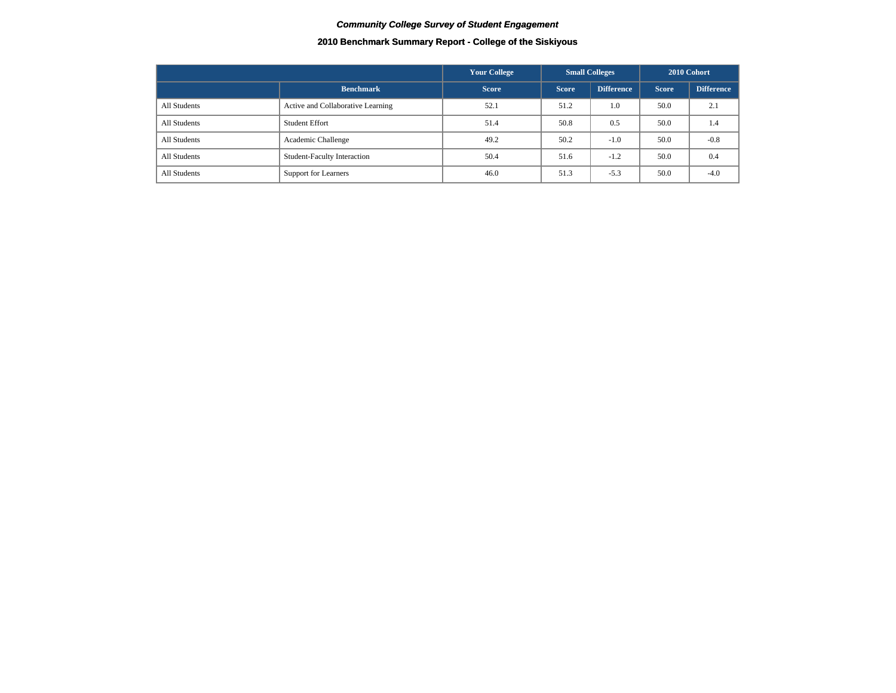## **2010 Benchmark Summary Report - College of the Siskiyous**

|              |                                    | <b>Your College</b> |              | <b>Small Colleges</b> |              | 2010 Cohort       |
|--------------|------------------------------------|---------------------|--------------|-----------------------|--------------|-------------------|
|              | <b>Benchmark</b>                   | <b>Score</b>        | <b>Score</b> | <b>Difference</b>     | <b>Score</b> | <b>Difference</b> |
| All Students | Active and Collaborative Learning  | 52.1                | 51.2         | 1.0                   | 50.0         | 2.1               |
| All Students | <b>Student Effort</b>              | 51.4                | 50.8         | 0.5                   | 50.0         | 1.4               |
| All Students | Academic Challenge                 | 49.2                | 50.2         | $-1.0$                | 50.0         | $-0.8$            |
| All Students | <b>Student-Faculty Interaction</b> | 50.4                | 51.6         | $-1.2$                | 50.0         | 0.4               |
| All Students | <b>Support for Learners</b>        | 46.0                | 51.3         | $-5.3$                | 50.0         | $-4.0$            |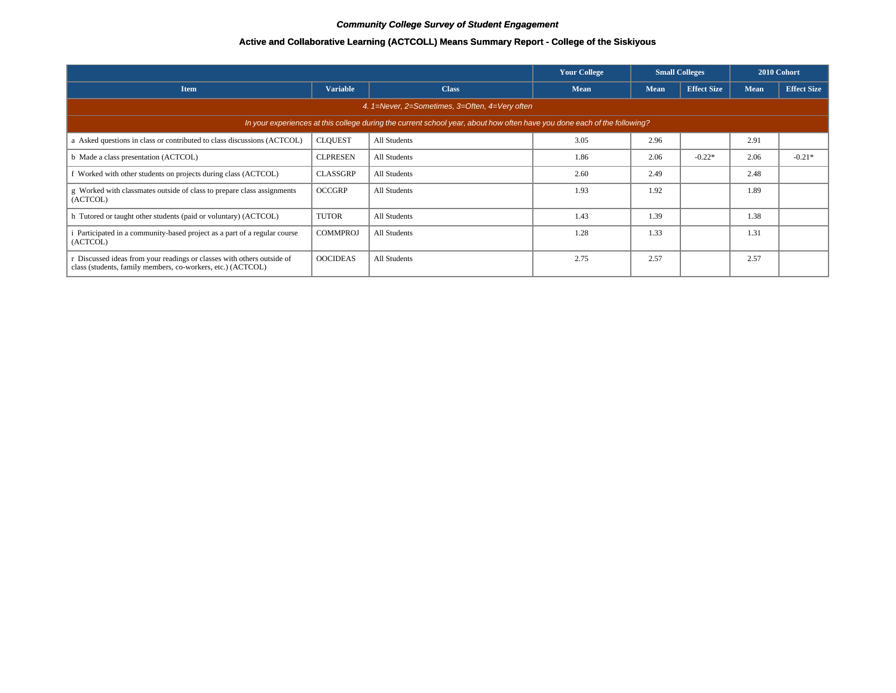## **Active and Collaborative Learning (ACTCOLL) Means Summary Report - College of the Siskiyous**

|                                                                                                                                       |                 |              | <b>Your College</b> | <b>Small Colleges</b> |                    |             | 2010 Cohort        |  |  |  |  |
|---------------------------------------------------------------------------------------------------------------------------------------|-----------------|--------------|---------------------|-----------------------|--------------------|-------------|--------------------|--|--|--|--|
| <b>Item</b>                                                                                                                           | <b>Variable</b> | <b>Class</b> | <b>Mean</b>         | <b>Mean</b>           | <b>Effect Size</b> | <b>Mean</b> | <b>Effect Size</b> |  |  |  |  |
| 4. 1=Never, 2=Sometimes, 3=Often, 4=Very often                                                                                        |                 |              |                     |                       |                    |             |                    |  |  |  |  |
| In your experiences at this college during the current school year, about how often have you done each of the following?              |                 |              |                     |                       |                    |             |                    |  |  |  |  |
| a Asked questions in class or contributed to class discussions (ACTCOL)                                                               | <b>CLQUEST</b>  | All Students | 3.05                | 2.96                  |                    | 2.91        |                    |  |  |  |  |
| b Made a class presentation (ACTCOL)                                                                                                  | <b>CLPRESEN</b> | All Students | 1.86                | 2.06                  | $-0.22*$           | 2.06        | $-0.21*$           |  |  |  |  |
| Worked with other students on projects during class (ACTCOL)                                                                          | <b>CLASSGRP</b> | All Students | 2.60                | 2.49                  |                    | 2.48        |                    |  |  |  |  |
| g Worked with classmates outside of class to prepare class assignments<br>(ACTCOL)                                                    | <b>OCCGRP</b>   | All Students | 1.93                | 1.92                  |                    | 1.89        |                    |  |  |  |  |
| h Tutored or taught other students (paid or voluntary) (ACTCOL)                                                                       | <b>TUTOR</b>    | All Students | 1.43                | 1.39                  |                    | 1.38        |                    |  |  |  |  |
| Participated in a community-based project as a part of a regular course<br>(ACTCOL)                                                   | <b>COMMPROJ</b> | All Students | 1.28                | 1.33                  |                    | 1.31        |                    |  |  |  |  |
| r Discussed ideas from your readings or classes with others outside of<br>class (students, family members, co-workers, etc.) (ACTCOL) | <b>OOCIDEAS</b> | All Students | 2.75                | 2.57                  |                    | 2.57        |                    |  |  |  |  |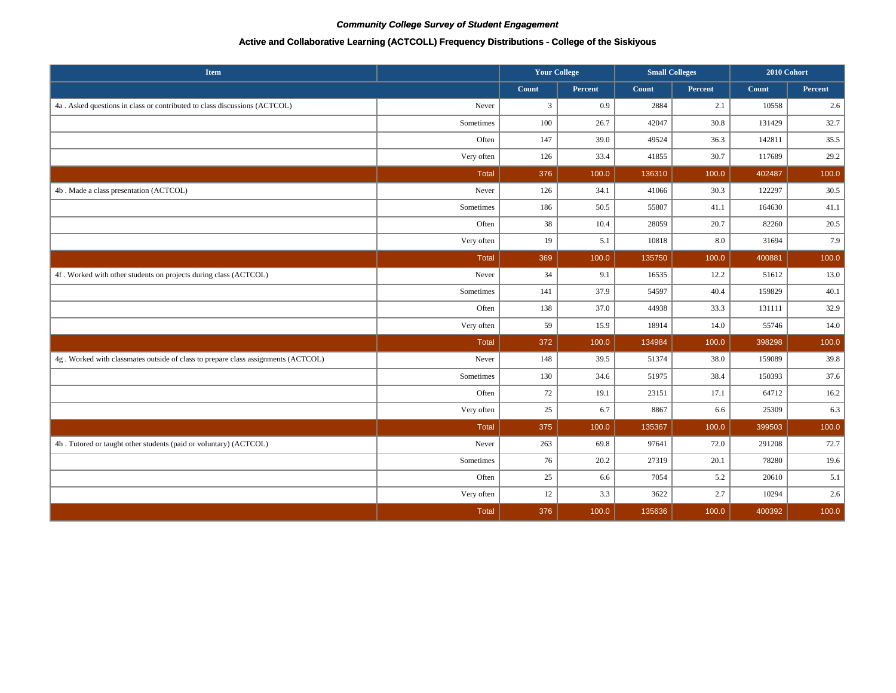## **Active and Collaborative Learning (ACTCOLL) Frequency Distributions - College of the Siskiyous**

| <b>Item</b>                                                                       |              | <b>Your College</b> |         | <b>Small Colleges</b> |         | 2010 Cohort |         |
|-----------------------------------------------------------------------------------|--------------|---------------------|---------|-----------------------|---------|-------------|---------|
|                                                                                   |              | Count               | Percent | Count                 | Percent | Count       | Percent |
| 4a. Asked questions in class or contributed to class discussions (ACTCOL)         | Never        | $\mathfrak{Z}$      | 0.9     | 2884                  | 2.1     | 10558       | 2.6     |
|                                                                                   | Sometimes    | 100                 | 26.7    | 42047                 | 30.8    | 131429      | 32.7    |
|                                                                                   | Often        | 147                 | 39.0    | 49524                 | 36.3    | 142811      | 35.5    |
|                                                                                   | Very often   | 126                 | 33.4    | 41855                 | 30.7    | 117689      | 29.2    |
|                                                                                   | <b>Total</b> | 376                 | 100.0   | 136310                | 100.0   | 402487      | 100.0   |
| 4b . Made a class presentation (ACTCOL)                                           | Never        | 126                 | 34.1    | 41066                 | 30.3    | 122297      | 30.5    |
|                                                                                   | Sometimes    | 186                 | 50.5    | 55807                 | 41.1    | 164630      | 41.1    |
|                                                                                   | Often        | 38                  | 10.4    | 28059                 | 20.7    | 82260       | 20.5    |
|                                                                                   | Very often   | 19                  | 5.1     | 10818                 | 8.0     | 31694       | 7.9     |
|                                                                                   | Total        | 369                 | 100.0   | 135750                | 100.0   | 400881      | 100.0   |
| 4f. Worked with other students on projects during class (ACTCOL)                  | Never        | 34                  | 9.1     | 16535                 | 12.2    | 51612       | 13.0    |
|                                                                                   | Sometimes    | 141                 | 37.9    | 54597                 | 40.4    | 159829      | 40.1    |
|                                                                                   | Often        | 138                 | 37.0    | 44938                 | 33.3    | 131111      | 32.9    |
|                                                                                   | Very often   | 59                  | 15.9    | 18914                 | 14.0    | 55746       | 14.0    |
|                                                                                   | <b>Total</b> | 372                 | 100.0   | 134984                | 100.0   | 398298      | 100.0   |
| 4g. Worked with classmates outside of class to prepare class assignments (ACTCOL) | Never        | 148                 | 39.5    | 51374                 | 38.0    | 159089      | 39.8    |
|                                                                                   | Sometimes    | 130                 | 34.6    | 51975                 | 38.4    | 150393      | 37.6    |
|                                                                                   | Often        | 72                  | 19.1    | 23151                 | 17.1    | 64712       | 16.2    |
|                                                                                   | Very often   | 25                  | 6.7     | 8867                  | 6.6     | 25309       | 6.3     |
|                                                                                   | <b>Total</b> | 375                 | 100.0   | 135367                | 100.0   | 399503      | 100.0   |
| 4h. Tutored or taught other students (paid or voluntary) (ACTCOL)                 | Never        | 263                 | 69.8    | 97641                 | 72.0    | 291208      | 72.7    |
|                                                                                   | Sometimes    | 76                  | 20.2    | 27319                 | 20.1    | 78280       | 19.6    |
|                                                                                   | Often        | 25                  | 6.6     | 7054                  | 5.2     | 20610       | 5.1     |
|                                                                                   | Very often   | 12                  | 3.3     | 3622                  | 2.7     | 10294       | $2.6\,$ |
|                                                                                   | <b>Total</b> | 376                 | 100.0   | 135636                | 100.0   | 400392      | 100.0   |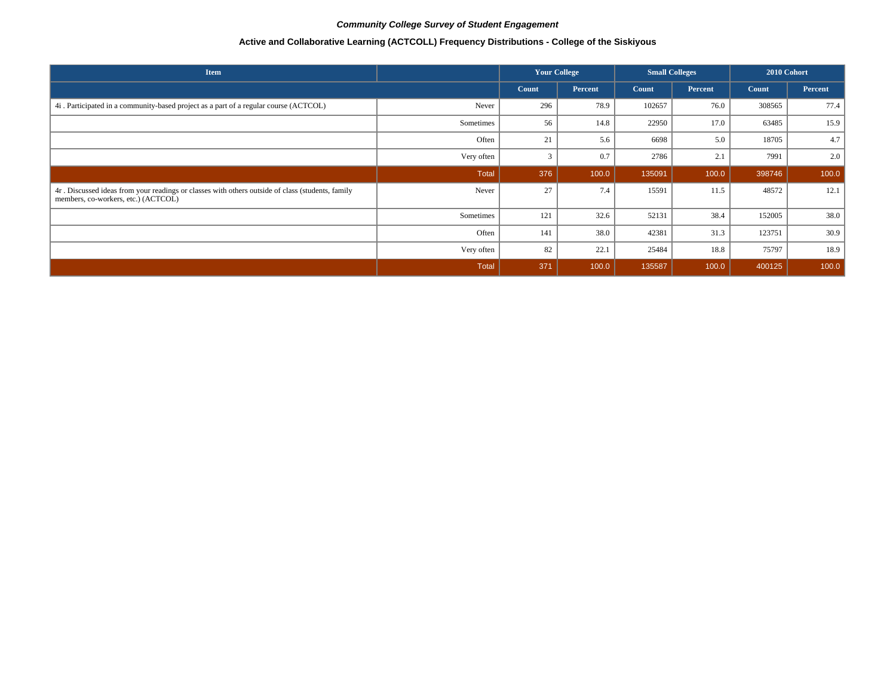# **Active and Collaborative Learning (ACTCOLL) Frequency Distributions - College of the Siskiyous**

| <b>Item</b>                                                                                                                             |            | <b>Your College</b> |         | <b>Small Colleges</b> |         | 2010 Cohort |         |
|-----------------------------------------------------------------------------------------------------------------------------------------|------------|---------------------|---------|-----------------------|---------|-------------|---------|
|                                                                                                                                         |            | Count               | Percent | Count                 | Percent | Count       | Percent |
| 4i. Participated in a community-based project as a part of a regular course (ACTCOL)                                                    | Never      | 296                 | 78.9    | 102657                | 76.0    | 308565      | 77.4    |
|                                                                                                                                         | Sometimes  | 56                  | 14.8    | 22950                 | 17.0    | 63485       | 15.9    |
|                                                                                                                                         | Often      | 21                  | 5.6     | 6698                  | 5.0     | 18705       | 4.7     |
|                                                                                                                                         | Very often |                     | 0.7     | 2786                  | 2.1     | 7991        | 2.0     |
|                                                                                                                                         | Total      | 376                 | 100.0   | 135091                | 100.0   | 398746      | 100.0   |
| 4r. Discussed ideas from your readings or classes with others outside of class (students, family<br>members, co-workers, etc.) (ACTCOL) | Never      | 27                  | 7.4     | 15591                 | 11.5    | 48572       | 12.1    |
|                                                                                                                                         | Sometimes  | 121                 | 32.6    | 52131                 | 38.4    | 152005      | 38.0    |
|                                                                                                                                         | Often      | 141                 | 38.0    | 42381                 | 31.3    | 123751      | 30.9    |
|                                                                                                                                         | Very often | 82                  | 22.1    | 25484                 | 18.8    | 75797       | 18.9    |
|                                                                                                                                         | Total      | 371                 | 100.0   | 135587                | 100.0   | 400125      | 100.0   |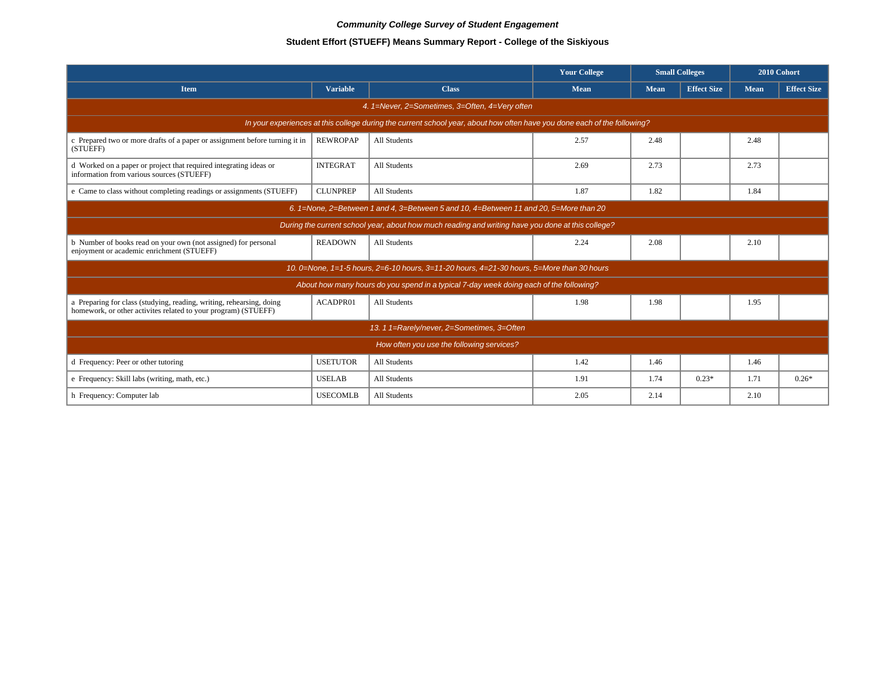# **Student Effort (STUEFF) Means Summary Report - College of the Siskiyous**

|                                                                                                                                        |                 |                                                                                                                          | <b>Your College</b> | <b>Small Colleges</b> |                    | 2010 Cohort |                    |  |  |  |  |
|----------------------------------------------------------------------------------------------------------------------------------------|-----------------|--------------------------------------------------------------------------------------------------------------------------|---------------------|-----------------------|--------------------|-------------|--------------------|--|--|--|--|
| <b>Item</b>                                                                                                                            | <b>Variable</b> | <b>Class</b>                                                                                                             | <b>Mean</b>         | <b>Mean</b>           | <b>Effect Size</b> | Mean        | <b>Effect Size</b> |  |  |  |  |
|                                                                                                                                        |                 | 4. 1=Never, 2=Sometimes, 3=Often, 4=Very often                                                                           |                     |                       |                    |             |                    |  |  |  |  |
|                                                                                                                                        |                 | In your experiences at this college during the current school year, about how often have you done each of the following? |                     |                       |                    |             |                    |  |  |  |  |
| c Prepared two or more drafts of a paper or assignment before turning it in<br>(STUEFF)                                                | <b>REWROPAP</b> | All Students                                                                                                             | 2.57                | 2.48                  |                    | 2.48        |                    |  |  |  |  |
| d Worked on a paper or project that required integrating ideas or<br>information from various sources (STUEFF)                         | <b>INTEGRAT</b> | All Students                                                                                                             | 2.69                | 2.73                  |                    | 2.73        |                    |  |  |  |  |
| e Came to class without completing readings or assignments (STUEFF)                                                                    | <b>CLUNPREP</b> | All Students                                                                                                             | 1.87                | 1.82                  |                    | 1.84        |                    |  |  |  |  |
| 6. 1=None, 2=Between 1 and 4, 3=Between 5 and 10, 4=Between 11 and 20, 5=More than 20                                                  |                 |                                                                                                                          |                     |                       |                    |             |                    |  |  |  |  |
|                                                                                                                                        |                 | During the current school year, about how much reading and writing have you done at this college?                        |                     |                       |                    |             |                    |  |  |  |  |
| b Number of books read on your own (not assigned) for personal<br>enjoyment or academic enrichment (STUEFF)                            | <b>READOWN</b>  | All Students                                                                                                             | 2.24                | 2.08                  |                    | 2.10        |                    |  |  |  |  |
|                                                                                                                                        |                 | 10. 0=None, 1=1-5 hours, 2=6-10 hours, 3=11-20 hours, 4=21-30 hours, 5=More than 30 hours                                |                     |                       |                    |             |                    |  |  |  |  |
|                                                                                                                                        |                 | About how many hours do you spend in a typical 7-day week doing each of the following?                                   |                     |                       |                    |             |                    |  |  |  |  |
| a Preparing for class (studying, reading, writing, rehearsing, doing<br>homework, or other activites related to your program) (STUEFF) | ACADPR01        | All Students                                                                                                             | 1.98                | 1.98                  |                    | 1.95        |                    |  |  |  |  |
|                                                                                                                                        |                 | 13. 1 1=Rarely/never, 2=Sometimes, 3=Often                                                                               |                     |                       |                    |             |                    |  |  |  |  |
|                                                                                                                                        |                 | How often you use the following services?                                                                                |                     |                       |                    |             |                    |  |  |  |  |
| d Frequency: Peer or other tutoring                                                                                                    | <b>USETUTOR</b> | All Students                                                                                                             | 1.42                | 1.46                  |                    | 1.46        |                    |  |  |  |  |
| e Frequency: Skill labs (writing, math, etc.)                                                                                          | <b>USELAB</b>   | All Students                                                                                                             | 1.91                | 1.74                  | $0.23*$            | 1.71        | $0.26*$            |  |  |  |  |
| h Frequency: Computer lab                                                                                                              | <b>USECOMLB</b> | All Students                                                                                                             | 2.05                | 2.14                  |                    | 2.10        |                    |  |  |  |  |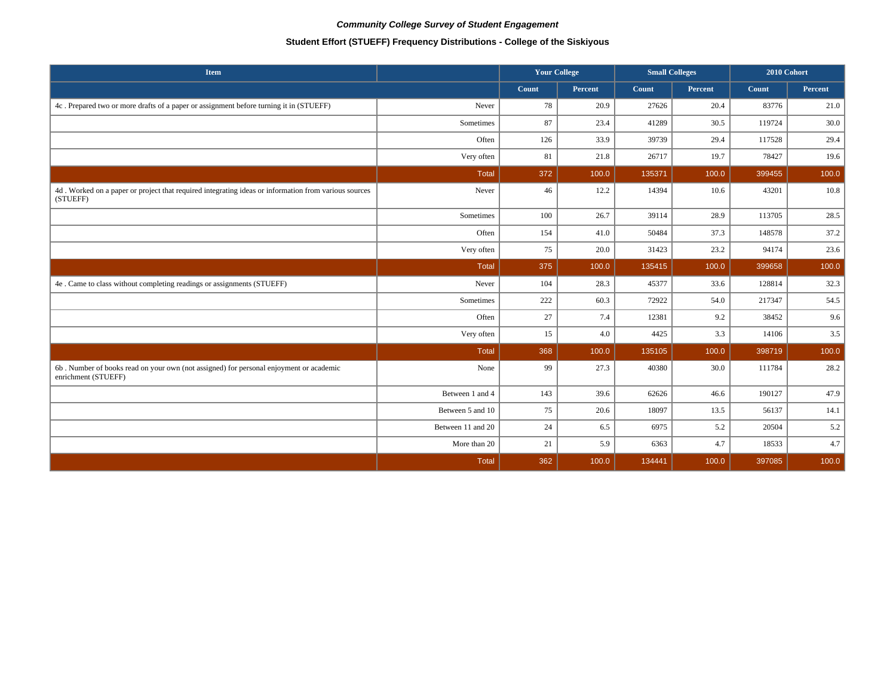# **Student Effort (STUEFF) Frequency Distributions - College of the Siskiyous**

| Item                                                                                                             |                   | <b>Your College</b> |         | <b>Small Colleges</b> |         | 2010 Cohort |         |
|------------------------------------------------------------------------------------------------------------------|-------------------|---------------------|---------|-----------------------|---------|-------------|---------|
|                                                                                                                  |                   | Count               | Percent | Count                 | Percent | Count       | Percent |
| 4c. Prepared two or more drafts of a paper or assignment before turning it in (STUEFF)                           | Never             | 78                  | 20.9    | 27626                 | 20.4    | 83776       | 21.0    |
|                                                                                                                  | Sometimes         | 87                  | 23.4    | 41289                 | 30.5    | 119724      | 30.0    |
|                                                                                                                  | Often             | 126                 | 33.9    | 39739                 | 29.4    | 117528      | 29.4    |
|                                                                                                                  | Very often        | 81                  | 21.8    | 26717                 | 19.7    | 78427       | 19.6    |
|                                                                                                                  | <b>Total</b>      | 372                 | 100.0   | 135371                | 100.0   | 399455      | 100.0   |
| 4d. Worked on a paper or project that required integrating ideas or information from various sources<br>(STUEFF) | Never             | 46                  | 12.2    | 14394                 | 10.6    | 43201       | 10.8    |
|                                                                                                                  | Sometimes         | 100                 | 26.7    | 39114                 | 28.9    | 113705      | 28.5    |
|                                                                                                                  | Often             | 154                 | 41.0    | 50484                 | 37.3    | 148578      | 37.2    |
|                                                                                                                  | Very often        | 75                  | 20.0    | 31423                 | 23.2    | 94174       | 23.6    |
|                                                                                                                  | <b>Total</b>      | 375                 | 100.0   | 135415                | 100.0   | 399658      | 100.0   |
| 4e . Came to class without completing readings or assignments (STUEFF)                                           | Never             | 104                 | 28.3    | 45377                 | 33.6    | 128814      | 32.3    |
|                                                                                                                  | Sometimes         | 222                 | 60.3    | 72922                 | 54.0    | 217347      | 54.5    |
|                                                                                                                  | Often             | $27\,$              | 7.4     | 12381                 | 9.2     | 38452       | 9.6     |
|                                                                                                                  | Very often        | 15                  | 4.0     | 4425                  | 3.3     | 14106       | 3.5     |
|                                                                                                                  | Total             | 368                 | 100.0   | 135105                | 100.0   | 398719      | 100.0   |
| 6b. Number of books read on your own (not assigned) for personal enjoyment or academic<br>enrichment (STUEFF)    | None              | 99                  | 27.3    | 40380                 | 30.0    | 111784      | 28.2    |
|                                                                                                                  | Between 1 and 4   | 143                 | 39.6    | 62626                 | 46.6    | 190127      | 47.9    |
|                                                                                                                  | Between 5 and 10  | 75                  | 20.6    | 18097                 | 13.5    | 56137       | 14.1    |
|                                                                                                                  | Between 11 and 20 | 24                  | 6.5     | 6975                  | 5.2     | 20504       | 5.2     |
|                                                                                                                  | More than 20      | 21                  | 5.9     | 6363                  | 4.7     | 18533       | 4.7     |
|                                                                                                                  | <b>Total</b>      | 362                 | 100.0   | 134441                | 100.0   | 397085      | 100.0   |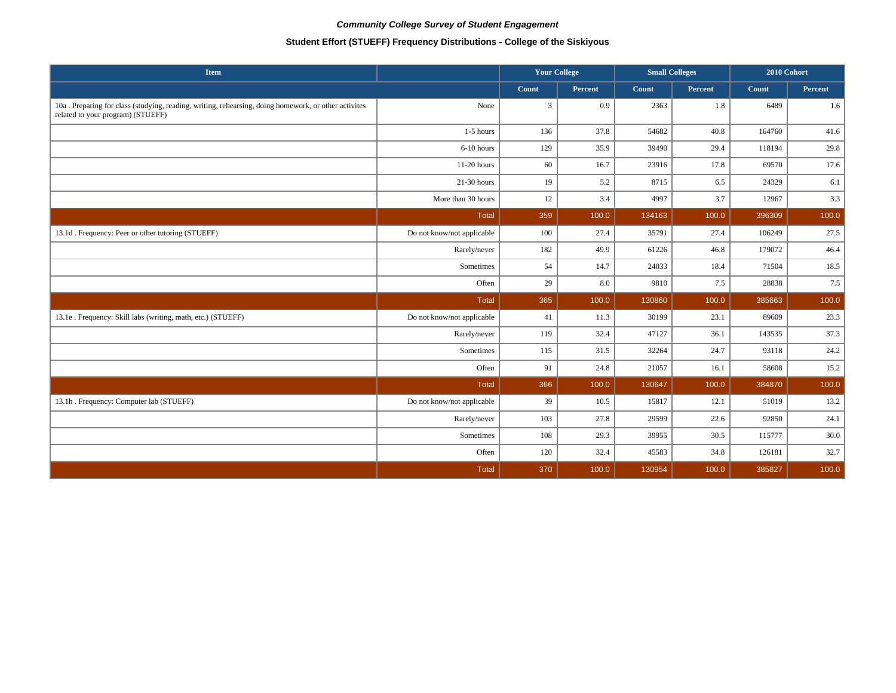# **Student Effort (STUEFF) Frequency Distributions - College of the Siskiyous**

| Item                                                                                                                                       |                            | <b>Your College</b> |         |        | <b>Small Colleges</b> | 2010 Cohort |         |
|--------------------------------------------------------------------------------------------------------------------------------------------|----------------------------|---------------------|---------|--------|-----------------------|-------------|---------|
|                                                                                                                                            |                            | Count               | Percent | Count  | <b>Percent</b>        | Count       | Percent |
| 10a . Preparing for class (studying, reading, writing, rehearsing, doing homework, or other activites<br>related to your program) (STUEFF) | None                       | $\mathbf{3}$        | 0.9     | 2363   | 1.8                   | 6489        | 1.6     |
|                                                                                                                                            | 1-5 hours                  | 136                 | 37.8    | 54682  | 40.8                  | 164760      | 41.6    |
|                                                                                                                                            | 6-10 hours                 | 129                 | 35.9    | 39490  | 29.4                  | 118194      | 29.8    |
|                                                                                                                                            | 11-20 hours                | 60                  | 16.7    | 23916  | 17.8                  | 69570       | 17.6    |
|                                                                                                                                            | $21-30$ hours              | 19                  | 5.2     | 8715   | 6.5                   | 24329       | 6.1     |
|                                                                                                                                            | More than 30 hours         | 12                  | 3.4     | 4997   | 3.7                   | 12967       | 3.3     |
|                                                                                                                                            | <b>Total</b>               | 359                 | 100.0   | 134163 | 100.0                 | 396309      | 100.0   |
| 13.1d. Frequency: Peer or other tutoring (STUEFF)                                                                                          | Do not know/not applicable | 100                 | 27.4    | 35791  | 27.4                  | 106249      | 27.5    |
|                                                                                                                                            | Rarely/never               | 182                 | 49.9    | 61226  | 46.8                  | 179072      | 46.4    |
|                                                                                                                                            | Sometimes                  | 54                  | 14.7    | 24033  | 18.4                  | 71504       | 18.5    |
|                                                                                                                                            | Often                      | 29                  | 8.0     | 9810   | 7.5                   | 28838       | 7.5     |
|                                                                                                                                            | Total                      | 365                 | 100.0   | 130860 | 100.0                 | 385663      | 100.0   |
| 13.1e . Frequency: Skill labs (writing, math, etc.) (STUEFF)                                                                               | Do not know/not applicable | 41                  | 11.3    | 30199  | 23.1                  | 89609       | 23.3    |
|                                                                                                                                            | Rarely/never               | 119                 | 32.4    | 47127  | 36.1                  | 143535      | 37.3    |
|                                                                                                                                            | Sometimes                  | 115                 | 31.5    | 32264  | 24.7                  | 93118       | 24.2    |
|                                                                                                                                            | Often                      | 91                  | 24.8    | 21057  | 16.1                  | 58608       | 15.2    |
|                                                                                                                                            | <b>Total</b>               | 366                 | 100.0   | 130647 | 100.0                 | 384870      | 100.0   |
| 13.1h . Frequency: Computer lab (STUEFF)                                                                                                   | Do not know/not applicable | 39                  | 10.5    | 15817  | 12.1                  | 51019       | 13.2    |
|                                                                                                                                            | Rarely/never               | 103                 | 27.8    | 29599  | 22.6                  | 92850       | 24.1    |
|                                                                                                                                            | Sometimes                  | 108                 | 29.3    | 39955  | 30.5                  | 115777      | 30.0    |
|                                                                                                                                            | Often                      | 120                 | 32.4    | 45583  | 34.8                  | 126181      | 32.7    |
|                                                                                                                                            | <b>Total</b>               | 370                 | 100.0   | 130954 | 100.0                 | 385827      | 100.0   |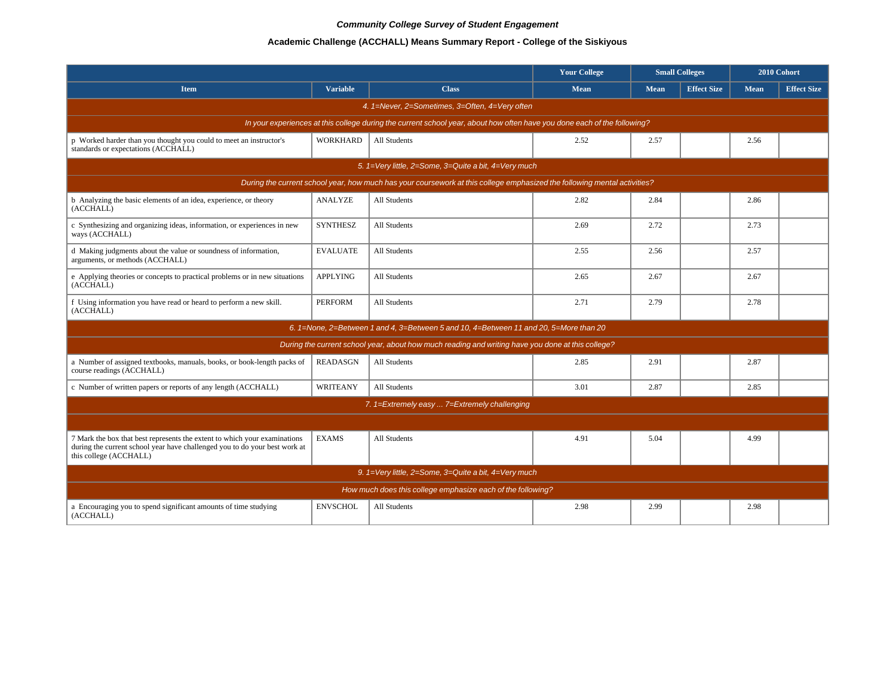# **Academic Challenge (ACCHALL) Means Summary Report - College of the Siskiyous**

|                                                                                                                                                                                   |                 |                                                                                                                          | <b>Your College</b> | <b>Small Colleges</b> |                    |             | 2010 Cohort        |  |  |  |  |
|-----------------------------------------------------------------------------------------------------------------------------------------------------------------------------------|-----------------|--------------------------------------------------------------------------------------------------------------------------|---------------------|-----------------------|--------------------|-------------|--------------------|--|--|--|--|
| <b>Item</b>                                                                                                                                                                       | <b>Variable</b> | <b>Class</b>                                                                                                             | <b>Mean</b>         | Mean                  | <b>Effect Size</b> | <b>Mean</b> | <b>Effect Size</b> |  |  |  |  |
|                                                                                                                                                                                   |                 | 4. 1=Never, 2=Sometimes, 3=Often, 4=Very often                                                                           |                     |                       |                    |             |                    |  |  |  |  |
|                                                                                                                                                                                   |                 | In your experiences at this college during the current school year, about how often have you done each of the following? |                     |                       |                    |             |                    |  |  |  |  |
| p Worked harder than you thought you could to meet an instructor's<br>standards or expectations (ACCHALL)                                                                         | <b>WORKHARD</b> | All Students                                                                                                             | 2.52                | 2.57                  |                    | 2.56        |                    |  |  |  |  |
|                                                                                                                                                                                   |                 | 5. 1=Very little, 2=Some, 3=Quite a bit, 4=Very much                                                                     |                     |                       |                    |             |                    |  |  |  |  |
| During the current school year, how much has your coursework at this college emphasized the following mental activities?                                                          |                 |                                                                                                                          |                     |                       |                    |             |                    |  |  |  |  |
| b Analyzing the basic elements of an idea, experience, or theory<br>(ACCHALL)                                                                                                     | <b>ANALYZE</b>  | All Students                                                                                                             | 2.82                | 2.84                  |                    | 2.86        |                    |  |  |  |  |
| c Synthesizing and organizing ideas, information, or experiences in new<br>ways (ACCHALL)                                                                                         | <b>SYNTHESZ</b> | All Students                                                                                                             | 2.69                | 2.72                  |                    | 2.73        |                    |  |  |  |  |
| d Making judgments about the value or soundness of information,<br>arguments, or methods (ACCHALL)                                                                                | <b>EVALUATE</b> | All Students                                                                                                             | 2.55                | 2.56                  |                    | 2.57        |                    |  |  |  |  |
| e Applying theories or concepts to practical problems or in new situations<br>(ACCHALL)                                                                                           | <b>APPLYING</b> | All Students                                                                                                             | 2.65                | 2.67                  |                    | 2.67        |                    |  |  |  |  |
| f Using information you have read or heard to perform a new skill.<br>(ACCHALL)                                                                                                   | <b>PERFORM</b>  | All Students                                                                                                             | 2.71                | 2.79                  |                    | 2.78        |                    |  |  |  |  |
|                                                                                                                                                                                   |                 | 6. 1=None, 2=Between 1 and 4, 3=Between 5 and 10, 4=Between 11 and 20, 5=More than 20                                    |                     |                       |                    |             |                    |  |  |  |  |
|                                                                                                                                                                                   |                 | During the current school year, about how much reading and writing have you done at this college?                        |                     |                       |                    |             |                    |  |  |  |  |
| a Number of assigned textbooks, manuals, books, or book-length packs of<br>course readings (ACCHALL)                                                                              | <b>READASGN</b> | All Students                                                                                                             | 2.85                | 2.91                  |                    | 2.87        |                    |  |  |  |  |
| c Number of written papers or reports of any length (ACCHALL)                                                                                                                     | <b>WRITEANY</b> | All Students                                                                                                             | 3.01                | 2.87                  |                    | 2.85        |                    |  |  |  |  |
|                                                                                                                                                                                   |                 | 7. 1=Extremely easy  7=Extremely challenging                                                                             |                     |                       |                    |             |                    |  |  |  |  |
|                                                                                                                                                                                   |                 |                                                                                                                          |                     |                       |                    |             |                    |  |  |  |  |
| 7 Mark the box that best represents the extent to which your examinations<br>during the current school year have challenged you to do your best work at<br>this college (ACCHALL) | <b>EXAMS</b>    | <b>All Students</b>                                                                                                      | 4.91                | 5.04                  |                    | 4.99        |                    |  |  |  |  |
|                                                                                                                                                                                   |                 | 9. 1=Very little, 2=Some, 3=Quite a bit, 4=Very much                                                                     |                     |                       |                    |             |                    |  |  |  |  |
|                                                                                                                                                                                   |                 | How much does this college emphasize each of the following?                                                              |                     |                       |                    |             |                    |  |  |  |  |
| a Encouraging you to spend significant amounts of time studying<br>(ACCHALL)                                                                                                      | <b>ENVSCHOL</b> | All Students                                                                                                             | 2.98                | 2.99                  |                    | 2.98        |                    |  |  |  |  |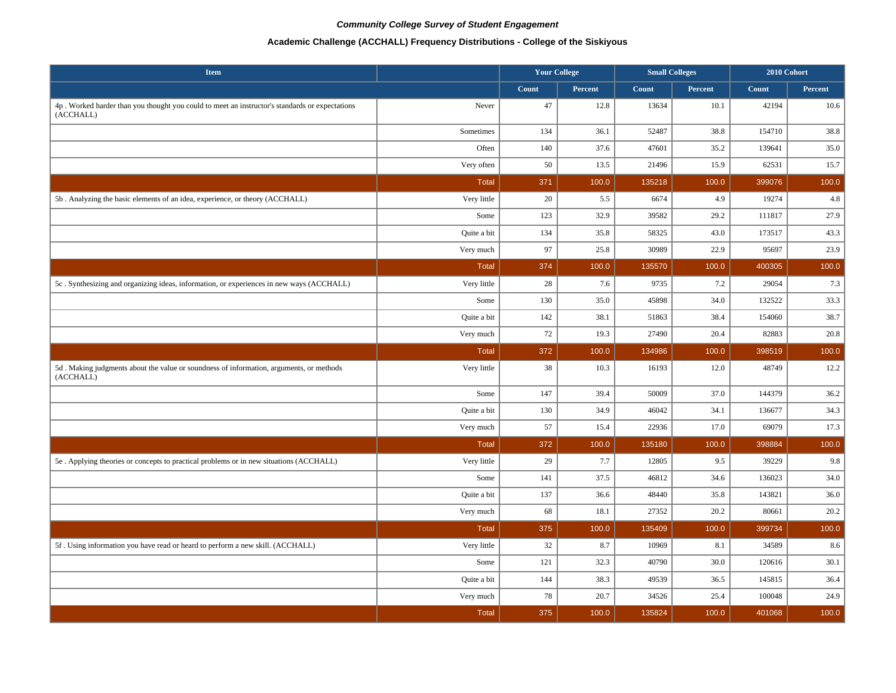# **Academic Challenge (ACCHALL) Frequency Distributions - College of the Siskiyous**

| <b>Item</b>                                                                                                 |              | <b>Your College</b> |         | <b>Small Colleges</b> |         | 2010 Cohort |         |
|-------------------------------------------------------------------------------------------------------------|--------------|---------------------|---------|-----------------------|---------|-------------|---------|
|                                                                                                             |              | Count               | Percent | Count                 | Percent | Count       | Percent |
| 4p. Worked harder than you thought you could to meet an instructor's standards or expectations<br>(ACCHALL) | Never        | 47                  | 12.8    | 13634                 | 10.1    | 42194       | 10.6    |
|                                                                                                             | Sometimes    | 134                 | 36.1    | 52487                 | 38.8    | 154710      | 38.8    |
|                                                                                                             | Often        | 140                 | 37.6    | 47601                 | 35.2    | 139641      | 35.0    |
|                                                                                                             | Very often   | 50                  | 13.5    | 21496                 | 15.9    | 62531       | 15.7    |
|                                                                                                             | <b>Total</b> | 371                 | 100.0   | 135218                | 100.0   | 399076      | 100.0   |
| 5b. Analyzing the basic elements of an idea, experience, or theory (ACCHALL)                                | Very little  | $20\,$              | 5.5     | 6674                  | 4.9     | 19274       | 4.8     |
|                                                                                                             | Some         | 123                 | 32.9    | 39582                 | 29.2    | 111817      | 27.9    |
|                                                                                                             | Quite a bit  | 134                 | 35.8    | 58325                 | 43.0    | 173517      | 43.3    |
|                                                                                                             | Very much    | 97                  | 25.8    | 30989                 | 22.9    | 95697       | 23.9    |
|                                                                                                             | Total        | 374                 | 100.0   | 135570                | 100.0   | 400305      | 100.0   |
| 5c. Synthesizing and organizing ideas, information, or experiences in new ways (ACCHALL)                    | Very little  | 28                  | 7.6     | 9735                  | 7.2     | 29054       | 7.3     |
|                                                                                                             | Some         | 130                 | 35.0    | 45898                 | 34.0    | 132522      | 33.3    |
|                                                                                                             | Quite a bit  | 142                 | 38.1    | 51863                 | 38.4    | 154060      | 38.7    |
|                                                                                                             | Very much    | 72                  | 19.3    | 27490                 | 20.4    | 82883       | 20.8    |
|                                                                                                             | <b>Total</b> | 372                 | 100.0   | 134986                | 100.0   | 398519      | 100.0   |
| 5d. Making judgments about the value or soundness of information, arguments, or methods<br>(ACCHALL)        | Very little  | 38                  | 10.3    | 16193                 | 12.0    | 48749       | 12.2    |
|                                                                                                             | Some         | 147                 | 39.4    | 50009                 | 37.0    | 144379      | 36.2    |
|                                                                                                             | Quite a bit  | 130                 | 34.9    | 46042                 | 34.1    | 136677      | 34.3    |
|                                                                                                             | Very much    | 57                  | 15.4    | 22936                 | 17.0    | 69079       | 17.3    |
|                                                                                                             | <b>Total</b> | 372                 | 100.0   | 135180                | 100.0   | 398884      | 100.0   |
| 5e . Applying theories or concepts to practical problems or in new situations (ACCHALL)                     | Very little  | 29                  | 7.7     | 12805                 | 9.5     | 39229       | 9.8     |
|                                                                                                             | Some         | 141                 | 37.5    | 46812                 | 34.6    | 136023      | 34.0    |
|                                                                                                             | Quite a bit  | 137                 | 36.6    | 48440                 | 35.8    | 143821      | 36.0    |
|                                                                                                             | Very much    | 68                  | 18.1    | 27352                 | 20.2    | 80661       | 20.2    |
|                                                                                                             | Total        | 375                 | 100.0   | 135409                | 100.0   | 399734      | 100.0   |
| 5f. Using information you have read or heard to perform a new skill. (ACCHALL)                              | Very little  | 32                  | 8.7     | 10969                 | 8.1     | 34589       | 8.6     |
|                                                                                                             | Some         | 121                 | 32.3    | 40790                 | 30.0    | 120616      | 30.1    |
|                                                                                                             | Quite a bit  | 144                 | 38.3    | 49539                 | 36.5    | 145815      | 36.4    |
|                                                                                                             | Very much    | 78                  | 20.7    | 34526                 | 25.4    | 100048      | 24.9    |
|                                                                                                             | <b>Total</b> | 375                 | 100.0   | 135824                | 100.0   | 401068      | 100.0   |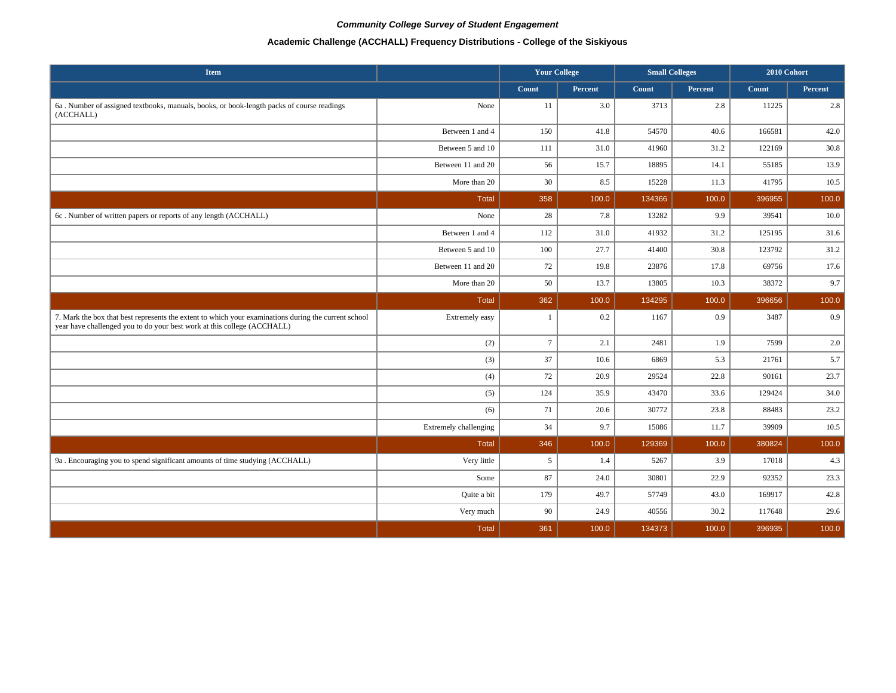# **Academic Challenge (ACCHALL) Frequency Distributions - College of the Siskiyous**

| <b>Item</b>                                                                                                                                                                     |                       | <b>Your College</b> |                | <b>Small Colleges</b> |         | 2010 Cohort |         |
|---------------------------------------------------------------------------------------------------------------------------------------------------------------------------------|-----------------------|---------------------|----------------|-----------------------|---------|-------------|---------|
|                                                                                                                                                                                 |                       | Count               | <b>Percent</b> | Count                 | Percent | Count       | Percent |
| 6a. Number of assigned textbooks, manuals, books, or book-length packs of course readings<br>(ACCHALL)                                                                          | None                  | 11                  | 3.0            | 3713                  | 2.8     | 11225       | 2.8     |
|                                                                                                                                                                                 | Between 1 and 4       | 150                 | 41.8           | 54570                 | 40.6    | 166581      | 42.0    |
|                                                                                                                                                                                 | Between 5 and 10      | 111                 | 31.0           | 41960                 | 31.2    | 122169      | 30.8    |
|                                                                                                                                                                                 | Between 11 and 20     | 56                  | 15.7           | 18895                 | 14.1    | 55185       | 13.9    |
|                                                                                                                                                                                 | More than 20          | 30                  | 8.5            | 15228                 | 11.3    | 41795       | 10.5    |
|                                                                                                                                                                                 | <b>Total</b>          | 358                 | 100.0          | 134366                | 100.0   | 396955      | 100.0   |
| 6c. Number of written papers or reports of any length (ACCHALL)                                                                                                                 | None                  | 28                  | 7.8            | 13282                 | 9.9     | 39541       | 10.0    |
|                                                                                                                                                                                 | Between 1 and 4       | 112                 | 31.0           | 41932                 | 31.2    | 125195      | 31.6    |
|                                                                                                                                                                                 | Between 5 and 10      | 100                 | 27.7           | 41400                 | 30.8    | 123792      | 31.2    |
|                                                                                                                                                                                 | Between 11 and 20     | 72                  | 19.8           | 23876                 | 17.8    | 69756       | 17.6    |
|                                                                                                                                                                                 | More than 20          | 50                  | 13.7           | 13805                 | 10.3    | 38372       | 9.7     |
|                                                                                                                                                                                 | <b>Total</b>          | 362                 | 100.0          | 134295                | 100.0   | 396656      | 100.0   |
| 7. Mark the box that best represents the extent to which your examinations during the current school<br>year have challenged you to do your best work at this college (ACCHALL) | Extremely easy        | $\mathbf{1}$        | 0.2            | 1167                  | 0.9     | 3487        | 0.9     |
|                                                                                                                                                                                 | (2)                   | $\overline{7}$      | 2.1            | 2481                  | 1.9     | 7599        | 2.0     |
|                                                                                                                                                                                 | (3)                   | 37                  | 10.6           | 6869                  | 5.3     | 21761       | 5.7     |
|                                                                                                                                                                                 | (4)                   | 72                  | 20.9           | 29524                 | 22.8    | 90161       | 23.7    |
|                                                                                                                                                                                 | (5)                   | 124                 | 35.9           | 43470                 | 33.6    | 129424      | 34.0    |
|                                                                                                                                                                                 | (6)                   | 71                  | 20.6           | 30772                 | 23.8    | 88483       | 23.2    |
|                                                                                                                                                                                 | Extremely challenging | 34                  | 9.7            | 15086                 | 11.7    | 39909       | 10.5    |
|                                                                                                                                                                                 | <b>Total</b>          | 346                 | 100.0          | 129369                | 100.0   | 380824      | 100.0   |
| 9a . Encouraging you to spend significant amounts of time studying (ACCHALL)                                                                                                    | Very little           | 5                   | 1.4            | 5267                  | 3.9     | 17018       | 4.3     |
|                                                                                                                                                                                 | Some                  | 87                  | 24.0           | 30801                 | 22.9    | 92352       | 23.3    |
|                                                                                                                                                                                 | Quite a bit           | 179                 | 49.7           | 57749                 | 43.0    | 169917      | 42.8    |
|                                                                                                                                                                                 | Very much             | 90                  | 24.9           | 40556                 | 30.2    | 117648      | 29.6    |
|                                                                                                                                                                                 | <b>Total</b>          | 361                 | 100.0          | 134373                | 100.0   | 396935      | 100.0   |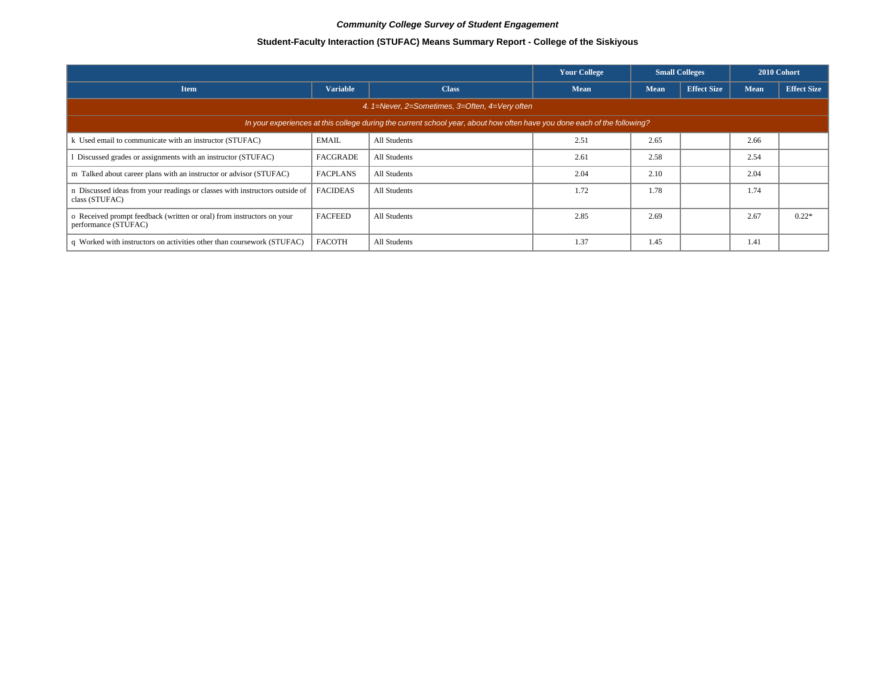# **Student-Faculty Interaction (STUFAC) Means Summary Report - College of the Siskiyous**

|                                                                                               |                                                |                                                                                                                          | <b>Your College</b> |             | <b>Small Colleges</b> | 2010 Cohort |                    |  |  |  |  |
|-----------------------------------------------------------------------------------------------|------------------------------------------------|--------------------------------------------------------------------------------------------------------------------------|---------------------|-------------|-----------------------|-------------|--------------------|--|--|--|--|
| <b>Item</b>                                                                                   | <b>Variable</b>                                | <b>Class</b>                                                                                                             | <b>Mean</b>         | <b>Mean</b> | <b>Effect Size</b>    | Mean        | <b>Effect Size</b> |  |  |  |  |
|                                                                                               | 4. 1=Never, 2=Sometimes, 3=Often, 4=Very often |                                                                                                                          |                     |             |                       |             |                    |  |  |  |  |
|                                                                                               |                                                | In your experiences at this college during the current school year, about how often have you done each of the following? |                     |             |                       |             |                    |  |  |  |  |
| k Used email to communicate with an instructor (STUFAC)                                       | <b>EMAIL</b>                                   | All Students                                                                                                             | 2.51                | 2.65        |                       | 2.66        |                    |  |  |  |  |
| Discussed grades or assignments with an instructor (STUFAC)                                   | <b>FACGRADE</b>                                | All Students                                                                                                             | 2.61                | 2.58        |                       | 2.54        |                    |  |  |  |  |
| m Talked about career plans with an instructor or advisor (STUFAC)                            | <b>FACPLANS</b>                                | All Students                                                                                                             | 2.04                | 2.10        |                       | 2.04        |                    |  |  |  |  |
| n Discussed ideas from your readings or classes with instructors outside of<br>class (STUFAC) | <b>FACIDEAS</b>                                | All Students                                                                                                             | 1.72                | 1.78        |                       | 1.74        |                    |  |  |  |  |
| o Received prompt feedback (written or oral) from instructors on your<br>performance (STUFAC) | <b>FACFEED</b>                                 | All Students                                                                                                             | 2.85                | 2.69        |                       | 2.67        | $0.22*$            |  |  |  |  |
| q Worked with instructors on activities other than coursework (STUFAC)                        | <b>FACOTH</b>                                  | All Students                                                                                                             | 1.37                | 1.45        |                       | 1.41        |                    |  |  |  |  |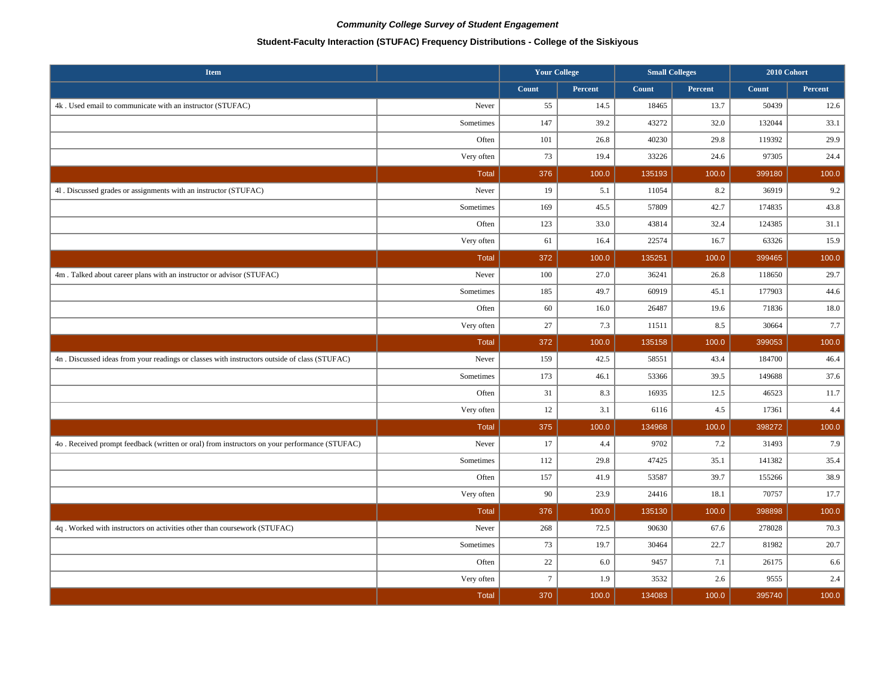# **Student-Faculty Interaction (STUFAC) Frequency Distributions - College of the Siskiyous**

| <b>Item</b>                                                                                   |              | <b>Your College</b> |         | <b>Small Colleges</b> |         | 2010 Cohort |         |
|-----------------------------------------------------------------------------------------------|--------------|---------------------|---------|-----------------------|---------|-------------|---------|
|                                                                                               |              | Count               | Percent | Count                 | Percent | Count       | Percent |
| 4k. Used email to communicate with an instructor (STUFAC)                                     | Never        | 55                  | 14.5    | 18465                 | 13.7    | 50439       | 12.6    |
|                                                                                               | Sometimes    | 147                 | 39.2    | 43272                 | 32.0    | 132044      | 33.1    |
|                                                                                               | Often        | 101                 | 26.8    | 40230                 | 29.8    | 119392      | 29.9    |
|                                                                                               | Very often   | 73                  | 19.4    | 33226                 | 24.6    | 97305       | 24.4    |
|                                                                                               | <b>Total</b> | 376                 | 100.0   | 135193                | 100.0   | 399180      | 100.0   |
| 41. Discussed grades or assignments with an instructor (STUFAC)                               | Never        | 19                  | 5.1     | 11054                 | 8.2     | 36919       | 9.2     |
|                                                                                               | Sometimes    | 169                 | 45.5    | 57809                 | 42.7    | 174835      | 43.8    |
|                                                                                               | Often        | 123                 | 33.0    | 43814                 | 32.4    | 124385      | 31.1    |
|                                                                                               | Very often   | 61                  | 16.4    | 22574                 | 16.7    | 63326       | 15.9    |
|                                                                                               | <b>Total</b> | 372                 | 100.0   | 135251                | 100.0   | 399465      | 100.0   |
| 4m. Talked about career plans with an instructor or advisor (STUFAC)                          | Never        | 100                 | 27.0    | 36241                 | 26.8    | 118650      | 29.7    |
|                                                                                               | Sometimes    | 185                 | 49.7    | 60919                 | 45.1    | 177903      | 44.6    |
|                                                                                               | Often        | 60                  | 16.0    | 26487                 | 19.6    | 71836       | 18.0    |
|                                                                                               | Very often   | 27                  | 7.3     | 11511                 | 8.5     | 30664       | 7.7     |
|                                                                                               | <b>Total</b> | 372                 | 100.0   | 135158                | 100.0   | 399053      | 100.0   |
| 4n. Discussed ideas from your readings or classes with instructors outside of class (STUFAC)  | Never        | 159                 | 42.5    | 58551                 | 43.4    | 184700      | 46.4    |
|                                                                                               | Sometimes    | 173                 | 46.1    | 53366                 | 39.5    | 149688      | 37.6    |
|                                                                                               | Often        | 31                  | 8.3     | 16935                 | 12.5    | 46523       | 11.7    |
|                                                                                               | Very often   | 12                  | 3.1     | 6116                  | 4.5     | 17361       | $4.4\,$ |
|                                                                                               | Total        | 375                 | 100.0   | 134968                | 100.0   | 398272      | 100.0   |
| 4o . Received prompt feedback (written or oral) from instructors on your performance (STUFAC) | Never        | 17                  | 4.4     | 9702                  | 7.2     | 31493       | 7.9     |
|                                                                                               | Sometimes    | 112                 | 29.8    | 47425                 | 35.1    | 141382      | 35.4    |
|                                                                                               | Often        | 157                 | 41.9    | 53587                 | 39.7    | 155266      | 38.9    |
|                                                                                               | Very often   | 90                  | 23.9    | 24416                 | 18.1    | 70757       | 17.7    |
|                                                                                               | <b>Total</b> | 376                 | 100.0   | 135130                | 100.0   | 398898      | 100.0   |
| 4q. Worked with instructors on activities other than coursework (STUFAC)                      | Never        | 268                 | 72.5    | 90630                 | 67.6    | 278028      | 70.3    |
|                                                                                               | Sometimes    | 73                  | 19.7    | 30464                 | 22.7    | 81982       | 20.7    |
|                                                                                               | Often        | 22                  | 6.0     | 9457                  | 7.1     | 26175       | 6.6     |
|                                                                                               | Very often   | $\tau$              | 1.9     | 3532                  | 2.6     | 9555        | 2.4     |
|                                                                                               | <b>Total</b> | 370                 | 100.0   | 134083                | 100.0   | 395740      | 100.0   |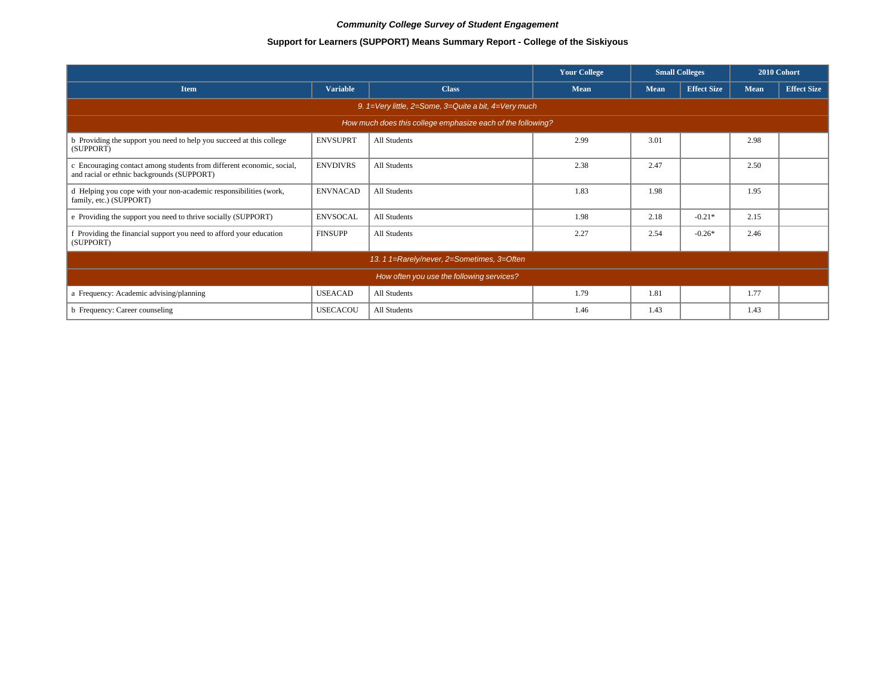# **Support for Learners (SUPPORT) Means Summary Report - College of the Siskiyous**

|                                                                                                                     |                 |              | <b>Your College</b> | <b>Small Colleges</b> |                    | 2010 Cohort |                    |  |  |
|---------------------------------------------------------------------------------------------------------------------|-----------------|--------------|---------------------|-----------------------|--------------------|-------------|--------------------|--|--|
| <b>Item</b>                                                                                                         | <b>Variable</b> | <b>Class</b> | <b>Mean</b>         | <b>Mean</b>           | <b>Effect Size</b> | <b>Mean</b> | <b>Effect Size</b> |  |  |
| 9. $1=$ Very little, 2=Some, 3=Quite a bit, 4=Very much                                                             |                 |              |                     |                       |                    |             |                    |  |  |
| How much does this college emphasize each of the following?                                                         |                 |              |                     |                       |                    |             |                    |  |  |
| b Providing the support you need to help you succeed at this college<br>(SUPPORT)                                   | <b>ENVSUPRT</b> | All Students | 2.99                | 3.01                  |                    | 2.98        |                    |  |  |
| c Encouraging contact among students from different economic, social,<br>and racial or ethnic backgrounds (SUPPORT) | <b>ENVDIVRS</b> | All Students | 2.38                | 2.47                  |                    | 2.50        |                    |  |  |
| d Helping you cope with your non-academic responsibilities (work,<br>family, etc.) (SUPPORT)                        | <b>ENVNACAD</b> | All Students | 1.83                | 1.98                  |                    | 1.95        |                    |  |  |
| e Providing the support you need to thrive socially (SUPPORT)                                                       | <b>ENVSOCAL</b> | All Students | 1.98                | 2.18                  | $-0.21*$           | 2.15        |                    |  |  |
| f Providing the financial support you need to afford your education<br>(SUPPORT)                                    | <b>FINSUPP</b>  | All Students | 2.27                | 2.54                  | $-0.26*$           | 2.46        |                    |  |  |
| 13. 1 1=Rarely/never, 2=Sometimes, 3=Often                                                                          |                 |              |                     |                       |                    |             |                    |  |  |
| How often you use the following services?                                                                           |                 |              |                     |                       |                    |             |                    |  |  |
| a Frequency: Academic advising/planning                                                                             | <b>USEACAD</b>  | All Students | 1.79                | 1.81                  |                    | 1.77        |                    |  |  |
| b Frequency: Career counseling                                                                                      | <b>USECACOU</b> | All Students | 1.46                | 1.43                  |                    | 1.43        |                    |  |  |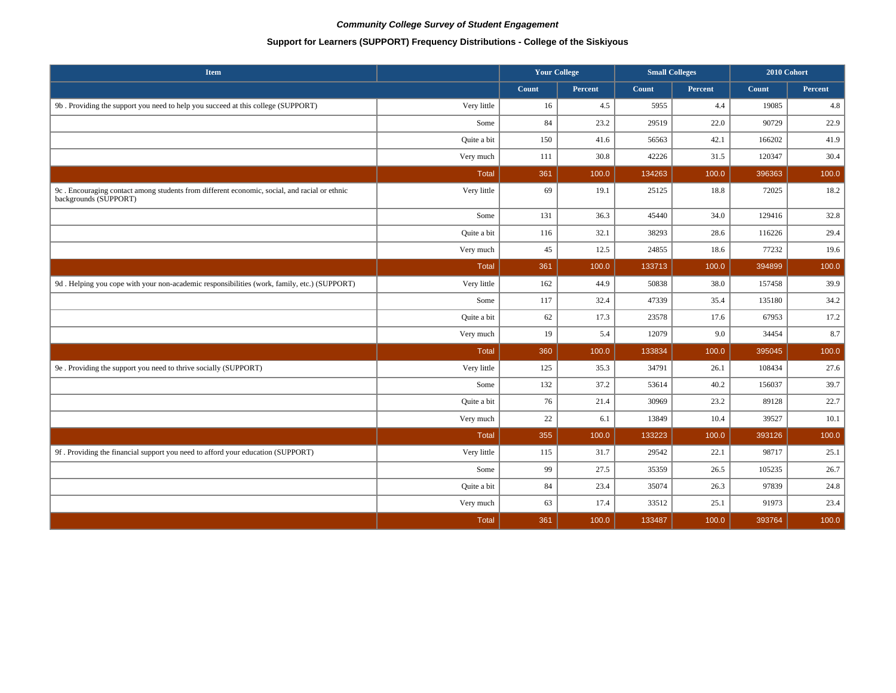# **Support for Learners (SUPPORT) Frequency Distributions - College of the Siskiyous**

| <b>Item</b>                                                                                                           |              | <b>Your College</b> |                | <b>Small Colleges</b> |                | 2010 Cohort |                |
|-----------------------------------------------------------------------------------------------------------------------|--------------|---------------------|----------------|-----------------------|----------------|-------------|----------------|
|                                                                                                                       |              | Count               | <b>Percent</b> | Count                 | <b>Percent</b> | Count       | <b>Percent</b> |
| 9b. Providing the support you need to help you succeed at this college (SUPPORT)                                      | Very little  | 16                  | 4.5            | 5955                  | 4.4            | 19085       | 4.8            |
|                                                                                                                       | Some         | 84                  | 23.2           | 29519                 | 22.0           | 90729       | 22.9           |
|                                                                                                                       | Quite a bit  | 150                 | 41.6           | 56563                 | 42.1           | 166202      | 41.9           |
|                                                                                                                       | Very much    | 111                 | 30.8           | 42226                 | 31.5           | 120347      | 30.4           |
|                                                                                                                       | Total        | 361                 | 100.0          | 134263                | 100.0          | 396363      | 100.0          |
| 9c. Encouraging contact among students from different economic, social, and racial or ethnic<br>backgrounds (SUPPORT) | Very little  | 69                  | 19.1           | 25125                 | 18.8           | 72025       | 18.2           |
|                                                                                                                       | Some         | 131                 | 36.3           | 45440                 | 34.0           | 129416      | 32.8           |
|                                                                                                                       | Quite a bit  | 116                 | 32.1           | 38293                 | 28.6           | 116226      | 29.4           |
|                                                                                                                       | Very much    | 45                  | 12.5           | 24855                 | 18.6           | 77232       | 19.6           |
|                                                                                                                       | <b>Total</b> | 361                 | 100.0          | 133713                | 100.0          | 394899      | 100.0          |
| 9d. Helping you cope with your non-academic responsibilities (work, family, etc.) (SUPPORT)                           | Very little  | 162                 | 44.9           | 50838                 | 38.0           | 157458      | 39.9           |
|                                                                                                                       | Some         | 117                 | 32.4           | 47339                 | 35.4           | 135180      | 34.2           |
|                                                                                                                       | Quite a bit  | 62                  | 17.3           | 23578                 | 17.6           | 67953       | 17.2           |
|                                                                                                                       | Very much    | 19                  | 5.4            | 12079                 | 9.0            | 34454       | 8.7            |
|                                                                                                                       | Total        | 360                 | 100.0          | 133834                | 100.0          | 395045      | 100.0          |
| 9e . Providing the support you need to thrive socially (SUPPORT)                                                      | Very little  | 125                 | 35.3           | 34791                 | 26.1           | 108434      | 27.6           |
|                                                                                                                       | Some         | 132                 | 37.2           | 53614                 | 40.2           | 156037      | 39.7           |
|                                                                                                                       | Quite a bit  | 76                  | 21.4           | 30969                 | 23.2           | 89128       | 22.7           |
|                                                                                                                       | Very much    | 22                  | 6.1            | 13849                 | 10.4           | 39527       | 10.1           |
|                                                                                                                       | Total        | 355                 | 100.0          | 133223                | 100.0          | 393126      | 100.0          |
| 9f. Providing the financial support you need to afford your education (SUPPORT)                                       | Very little  | 115                 | 31.7           | 29542                 | 22.1           | 98717       | 25.1           |
|                                                                                                                       | Some         | 99                  | 27.5           | 35359                 | 26.5           | 105235      | 26.7           |
|                                                                                                                       | Quite a bit  | 84                  | 23.4           | 35074                 | 26.3           | 97839       | 24.8           |
|                                                                                                                       | Very much    | 63                  | 17.4           | 33512                 | 25.1           | 91973       | 23.4           |
|                                                                                                                       | <b>Total</b> | 361                 | 100.0          | 133487                | 100.0          | 393764      | 100.0          |